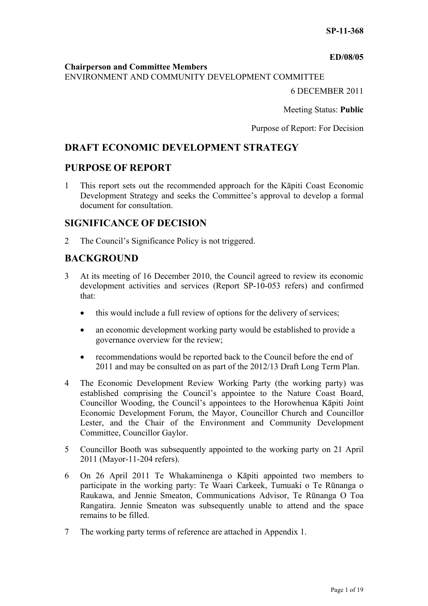#### **ED/08/05**

#### **Chairperson and Committee Members**

ENVIRONMENT AND COMMUNITY DEVELOPMENT COMMITTEE

6 DECEMBER 2011

Meeting Status: **Public**

Purpose of Report: For Decision

# **DRAFT ECONOMIC DEVELOPMENT STRATEGY**

# **PURPOSE OF REPORT**

1 This report sets out the recommended approach for the Kāpiti Coast Economic Development Strategy and seeks the Committee's approval to develop a formal document for consultation.

# **SIGNIFICANCE OF DECISION**

2 The Council's Significance Policy is not triggered.

# **BACKGROUND**

- 3 At its meeting of 16 December 2010, the Council agreed to review its economic development activities and services (Report SP-10-053 refers) and confirmed that:
	- this would include a full review of options for the delivery of services;
	- an economic development working party would be established to provide a governance overview for the review;
	- recommendations would be reported back to the Council before the end of 2011 and may be consulted on as part of the 2012/13 Draft Long Term Plan.
- 4 The Economic Development Review Working Party (the working party) was established comprising the Council's appointee to the Nature Coast Board, Councillor Wooding, the Council's appointees to the Horowhenua Kāpiti Joint Economic Development Forum, the Mayor, Councillor Church and Councillor Lester, and the Chair of the Environment and Community Development Committee, Councillor Gaylor.
- 5 Councillor Booth was subsequently appointed to the working party on 21 April 2011 (Mayor-11-204 refers).
- 6 On 26 April 2011 Te Whakaminenga o Kāpiti appointed two members to participate in the working party: Te Waari Carkeek, Tumuaki o Te Rūnanga o Raukawa, and Jennie Smeaton, Communications Advisor, Te Rūnanga O Toa Rangatira. Jennie Smeaton was subsequently unable to attend and the space remains to be filled.
- 7 The working party terms of reference are attached in Appendix 1.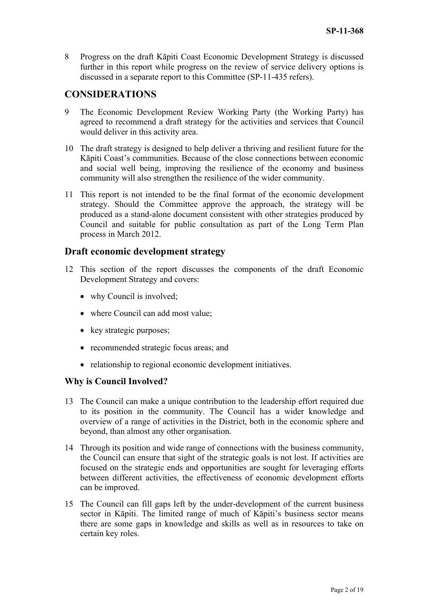8 Progress on the draft Kāpiti Coast Economic Development Strategy is discussed further in this report while progress on the review of service delivery options is discussed in a separate report to this Committee (SP-11-435 refers).

# **CONSIDERATIONS**

- 9 The Economic Development Review Working Party (the Working Party) has agreed to recommend a draft strategy for the activities and services that Council would deliver in this activity area.
- 10 The draft strategy is designed to help deliver a thriving and resilient future for the Kāpiti Coast's communities. Because of the close connections between economic and social well being, improving the resilience of the economy and business community will also strengthen the resilience of the wider community.
- 11 This report is not intended to be the final format of the economic development strategy. Should the Committee approve the approach, the strategy will be produced as a stand-alone document consistent with other strategies produced by Council and suitable for public consultation as part of the Long Term Plan process in March 2012.

# **Draft economic development strategy**

- 12 This section of the report discusses the components of the draft Economic Development Strategy and covers:
	- why Council is involved;
	- where Council can add most value;
	- $\bullet$  key strategic purposes;
	- recommended strategic focus areas; and
	- relationship to regional economic development initiatives.

# **Why is Council Involved?**

- 13 The Council can make a unique contribution to the leadership effort required due to its position in the community. The Council has a wider knowledge and overview of a range of activities in the District, both in the economic sphere and beyond, than almost any other organisation.
- 14 Through its position and wide range of connections with the business community, the Council can ensure that sight of the strategic goals is not lost. If activities are focused on the strategic ends and opportunities are sought for leveraging efforts between different activities, the effectiveness of economic development efforts can be improved.
- 15 The Council can fill gaps left by the under-development of the current business sector in Kāpiti. The limited range of much of Kāpiti's business sector means there are some gaps in knowledge and skills as well as in resources to take on certain key roles.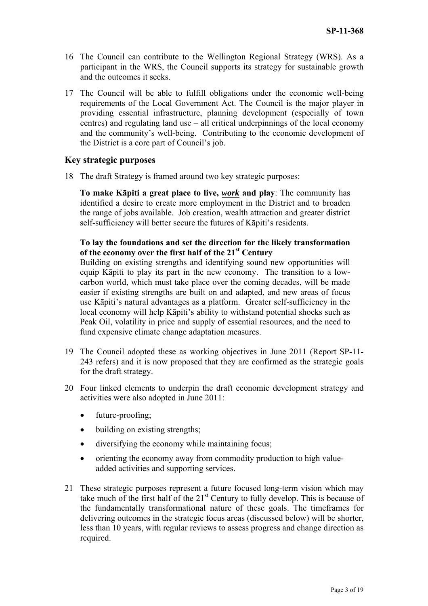- 16 The Council can contribute to the Wellington Regional Strategy (WRS). As a participant in the WRS, the Council supports its strategy for sustainable growth and the outcomes it seeks.
- 17 The Council will be able to fulfill obligations under the economic well-being requirements of the Local Government Act. The Council is the major player in providing essential infrastructure, planning development (especially of town centres) and regulating land use – all critical underpinnings of the local economy and the community's well-being. Contributing to the economic development of the District is a core part of Council's job.

## **Key strategic purposes**

18 The draft Strategy is framed around two key strategic purposes:

**To make Kāpiti a great place to live,** *work* **and play**: The community has identified a desire to create more employment in the District and to broaden the range of jobs available. Job creation, wealth attraction and greater district self-sufficiency will better secure the futures of Kāpiti's residents.

## **To lay the foundations and set the direction for the likely transformation of the economy over the first half of the 21st Century**

Building on existing strengths and identifying sound new opportunities will equip Kāpiti to play its part in the new economy. The transition to a lowcarbon world, which must take place over the coming decades, will be made easier if existing strengths are built on and adapted, and new areas of focus use Kāpiti's natural advantages as a platform. Greater self-sufficiency in the local economy will help Kāpiti's ability to withstand potential shocks such as Peak Oil, volatility in price and supply of essential resources, and the need to fund expensive climate change adaptation measures.

- 19 The Council adopted these as working objectives in June 2011 (Report SP-11- 243 refers) and it is now proposed that they are confirmed as the strategic goals for the draft strategy.
- 20 Four linked elements to underpin the draft economic development strategy and activities were also adopted in June 2011:
	- future-proofing;
	- building on existing strengths;
	- diversifying the economy while maintaining focus;
	- orienting the economy away from commodity production to high valueadded activities and supporting services.
- 21 These strategic purposes represent a future focused long-term vision which may take much of the first half of the  $21<sup>st</sup>$  Century to fully develop. This is because of the fundamentally transformational nature of these goals. The timeframes for delivering outcomes in the strategic focus areas (discussed below) will be shorter, less than 10 years, with regular reviews to assess progress and change direction as required.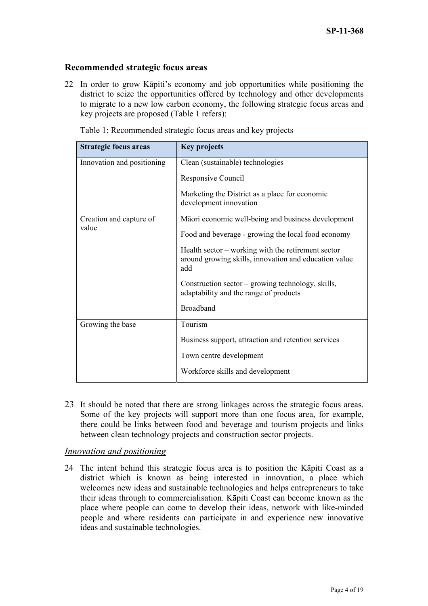## **Recommended strategic focus areas**

22 In order to grow Kāpiti's economy and job opportunities while positioning the district to seize the opportunities offered by technology and other developments to migrate to a new low carbon economy, the following strategic focus areas and key projects are proposed (Table 1 refers):

| <b>Strategic focus areas</b>     | <b>Key projects</b>                                                                                                |
|----------------------------------|--------------------------------------------------------------------------------------------------------------------|
| Innovation and positioning       | Clean (sustainable) technologies                                                                                   |
|                                  | Responsive Council                                                                                                 |
|                                  | Marketing the District as a place for economic<br>development innovation                                           |
| Creation and capture of<br>value | Māori economic well-being and business development                                                                 |
|                                  | Food and beverage - growing the local food economy                                                                 |
|                                  | Health sector – working with the retirement sector<br>around growing skills, innovation and education value<br>add |
|                                  | Construction sector – growing technology, skills,<br>adaptability and the range of products                        |
|                                  | <b>Broadband</b>                                                                                                   |
| Growing the base                 | Tourism                                                                                                            |
|                                  | Business support, attraction and retention services                                                                |
|                                  | Town centre development                                                                                            |
|                                  | Workforce skills and development                                                                                   |

Table 1: Recommended strategic focus areas and key projects

23 It should be noted that there are strong linkages across the strategic focus areas. Some of the key projects will support more than one focus area, for example, there could be links between food and beverage and tourism projects and links between clean technology projects and construction sector projects.

### *Innovation and positioning*

24 The intent behind this strategic focus area is to position the Kāpiti Coast as a district which is known as being interested in innovation, a place which welcomes new ideas and sustainable technologies and helps entrepreneurs to take their ideas through to commercialisation. Kāpiti Coast can become known as the place where people can come to develop their ideas, network with like-minded people and where residents can participate in and experience new innovative ideas and sustainable technologies.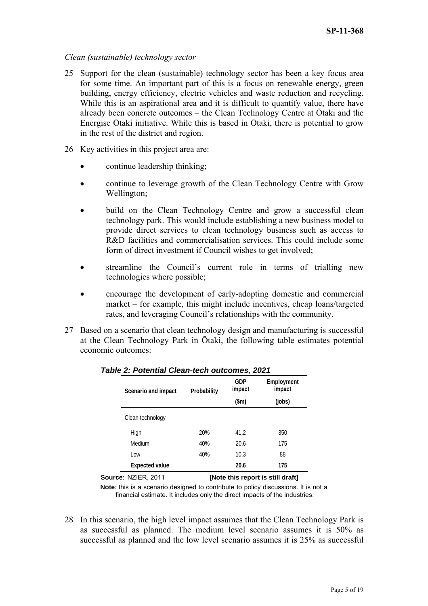### *Clean (sustainable) technology sector*

- 25 Support for the clean (sustainable) technology sector has been a key focus area for some time. An important part of this is a focus on renewable energy, green building, energy efficiency, electric vehicles and waste reduction and recycling. While this is an aspirational area and it is difficult to quantify value, there have already been concrete outcomes – the Clean Technology Centre at Ōtaki and the Energise Ōtaki initiative. While this is based in Ōtaki, there is potential to grow in the rest of the district and region.
- 26 Key activities in this project area are:
	- continue leadership thinking;
	- continue to leverage growth of the Clean Technology Centre with Grow Wellington;
	- build on the Clean Technology Centre and grow a successful clean technology park. This would include establishing a new business model to provide direct services to clean technology business such as access to R&D facilities and commercialisation services. This could include some form of direct investment if Council wishes to get involved;
	- streamline the Council's current role in terms of trialling new technologies where possible;
	- encourage the development of early-adopting domestic and commercial market – for example, this might include incentives, cheap loans/targeted rates, and leveraging Council's relationships with the community.
- 27 Based on a scenario that clean technology design and manufacturing is successful at the Clean Technology Park in Ōtaki, the following table estimates potential economic outcomes:

| Scenario and impact   | Probability | GDP<br>impact | Employment<br>impact |  |
|-----------------------|-------------|---------------|----------------------|--|
|                       |             | (\$m)         | (jobs)               |  |
| Clean technology      |             |               |                      |  |
| High                  | 20%         | 41.2          | 350                  |  |
| Medium                | 40%         | 20.6          | 175                  |  |
| Low                   | 40%         | 10.3          | 88                   |  |
| <b>Expected value</b> |             | 20.6          | 175                  |  |

*Table 2: Potential Clean-tech outcomes, 2021* 

**Source: NZIER, 2011** [Note this report is still draft]

**Note**: this is a scenario designed to contribute to policy discussions. It is not a financial estimate. It includes only the direct impacts of the industries.

28 In this scenario, the high level impact assumes that the Clean Technology Park is as successful as planned. The medium level scenario assumes it is 50% as successful as planned and the low level scenario assumes it is 25% as successful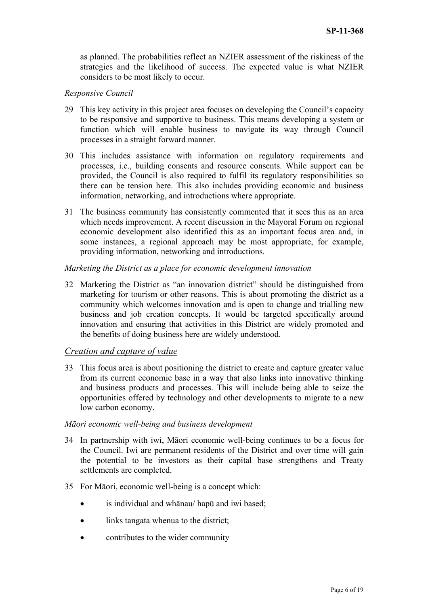as planned. The probabilities reflect an NZIER assessment of the riskiness of the strategies and the likelihood of success. The expected value is what NZIER considers to be most likely to occur.

### *Responsive Council*

- 29 This key activity in this project area focuses on developing the Council's capacity to be responsive and supportive to business. This means developing a system or function which will enable business to navigate its way through Council processes in a straight forward manner.
- 30 This includes assistance with information on regulatory requirements and processes, i.e., building consents and resource consents. While support can be provided, the Council is also required to fulfil its regulatory responsibilities so there can be tension here. This also includes providing economic and business information, networking, and introductions where appropriate.
- 31 The business community has consistently commented that it sees this as an area which needs improvement. A recent discussion in the Mayoral Forum on regional economic development also identified this as an important focus area and, in some instances, a regional approach may be most appropriate, for example, providing information, networking and introductions.

#### *Marketing the District as a place for economic development innovation*

32 Marketing the District as "an innovation district" should be distinguished from marketing for tourism or other reasons. This is about promoting the district as a community which welcomes innovation and is open to change and trialling new business and job creation concepts. It would be targeted specifically around innovation and ensuring that activities in this District are widely promoted and the benefits of doing business here are widely understood.

### *Creation and capture of value*

33 This focus area is about positioning the district to create and capture greater value from its current economic base in a way that also links into innovative thinking and business products and processes. This will include being able to seize the opportunities offered by technology and other developments to migrate to a new low carbon economy.

#### *Māori economic well-being and business development*

- 34 In partnership with iwi, Māori economic well-being continues to be a focus for the Council. Iwi are permanent residents of the District and over time will gain the potential to be investors as their capital base strengthens and Treaty settlements are completed.
- 35 For Māori, economic well-being is a concept which:
	- is individual and whānau/ hapū and iwi based;
	- links tangata whenua to the district;
	- contributes to the wider community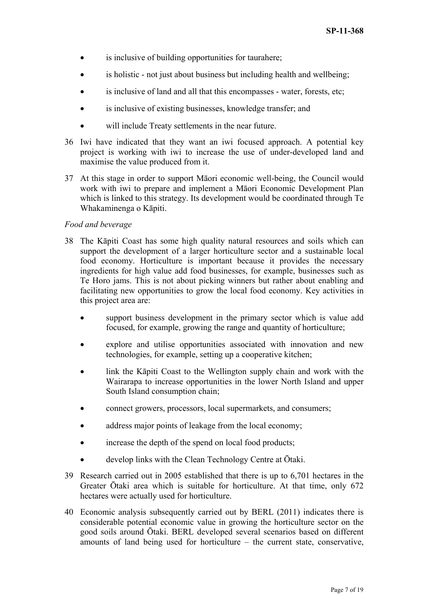- is inclusive of building opportunities for taurahere;
- is holistic not just about business but including health and wellbeing;
- is inclusive of land and all that this encompasses water, forests, etc;
- is inclusive of existing businesses, knowledge transfer; and
- will include Treaty settlements in the near future.
- 36 Iwi have indicated that they want an iwi focused approach. A potential key project is working with iwi to increase the use of under-developed land and maximise the value produced from it.
- 37 At this stage in order to support Māori economic well-being, the Council would work with iwi to prepare and implement a Māori Economic Development Plan which is linked to this strategy. Its development would be coordinated through Te Whakaminenga o Kāpiti.

### *Food and beverage*

- 38 The Kāpiti Coast has some high quality natural resources and soils which can support the development of a larger horticulture sector and a sustainable local food economy. Horticulture is important because it provides the necessary ingredients for high value add food businesses, for example, businesses such as Te Horo jams. This is not about picking winners but rather about enabling and facilitating new opportunities to grow the local food economy. Key activities in this project area are:
	- support business development in the primary sector which is value add focused, for example, growing the range and quantity of horticulture;
	- explore and utilise opportunities associated with innovation and new technologies, for example, setting up a cooperative kitchen;
	- link the Kāpiti Coast to the Wellington supply chain and work with the Wairarapa to increase opportunities in the lower North Island and upper South Island consumption chain;
	- connect growers, processors, local supermarkets, and consumers;
	- address major points of leakage from the local economy;
	- increase the depth of the spend on local food products;
	- develop links with the Clean Technology Centre at Ōtaki.
- 39 Research carried out in 2005 established that there is up to 6,701 hectares in the Greater Ōtaki area which is suitable for horticulture. At that time, only 672 hectares were actually used for horticulture.
- 40 Economic analysis subsequently carried out by BERL (2011) indicates there is considerable potential economic value in growing the horticulture sector on the good soils around Ōtaki. BERL developed several scenarios based on different amounts of land being used for horticulture – the current state, conservative,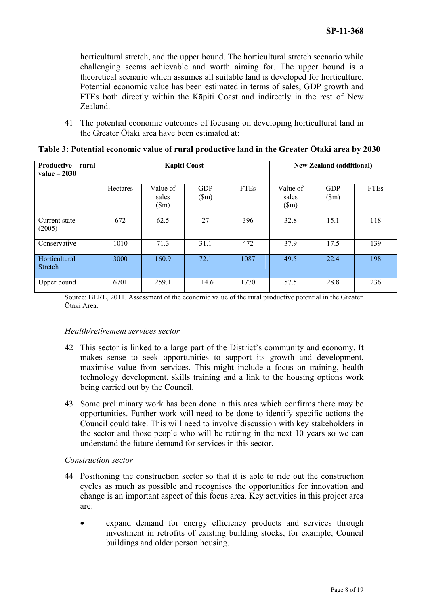horticultural stretch, and the upper bound. The horticultural stretch scenario while challenging seems achievable and worth aiming for. The upper bound is a theoretical scenario which assumes all suitable land is developed for horticulture. Potential economic value has been estimated in terms of sales, GDP growth and FTEs both directly within the Kāpiti Coast and indirectly in the rest of New Zealand.

41 The potential economic outcomes of focusing on developing horticultural land in the Greater Ōtaki area have been estimated at:

| Productive<br>rural<br>value $-2030$ | <b>Kapiti Coast</b> |                                    |                             |             | <b>New Zealand (additional)</b>    |                             |             |
|--------------------------------------|---------------------|------------------------------------|-----------------------------|-------------|------------------------------------|-----------------------------|-------------|
|                                      | Hectares            | Value of<br>sales<br>$(\text{Sm})$ | <b>GDP</b><br>$(\text{Sm})$ | <b>FTEs</b> | Value of<br>sales<br>$(\text{Sm})$ | <b>GDP</b><br>$(\text{Sm})$ | <b>FTEs</b> |
| Current state<br>(2005)              | 672                 | 62.5                               | 27                          | 396         | 32.8                               | 15.1                        | 118         |
| Conservative                         | 1010                | 71.3                               | 31.1                        | 472         | 37.9                               | 17.5                        | 139         |
| Horticultural<br>Stretch             | 3000                | 160.9                              | 72.1                        | 1087        | 49.5                               | 22.4                        | 198         |
| Upper bound                          | 6701                | 259.1                              | 114.6                       | 1770        | 57.5                               | 28.8                        | 236         |

| Table 3: Potential economic value of rural productive land in the Greater Ōtaki area by 2030 |  |  |
|----------------------------------------------------------------------------------------------|--|--|
|                                                                                              |  |  |
|                                                                                              |  |  |
|                                                                                              |  |  |

Source: BERL, 2011. Assessment of the economic value of the rural productive potential in the Greater Ōtaki Area.

#### *Health/retirement services sector*

- 42 This sector is linked to a large part of the District's community and economy. It makes sense to seek opportunities to support its growth and development, maximise value from services. This might include a focus on training, health technology development, skills training and a link to the housing options work being carried out by the Council.
- 43 Some preliminary work has been done in this area which confirms there may be opportunities. Further work will need to be done to identify specific actions the Council could take. This will need to involve discussion with key stakeholders in the sector and those people who will be retiring in the next 10 years so we can understand the future demand for services in this sector.

#### *Construction sector*

- 44 Positioning the construction sector so that it is able to ride out the construction cycles as much as possible and recognises the opportunities for innovation and change is an important aspect of this focus area. Key activities in this project area are:
	- expand demand for energy efficiency products and services through investment in retrofits of existing building stocks, for example, Council buildings and older person housing.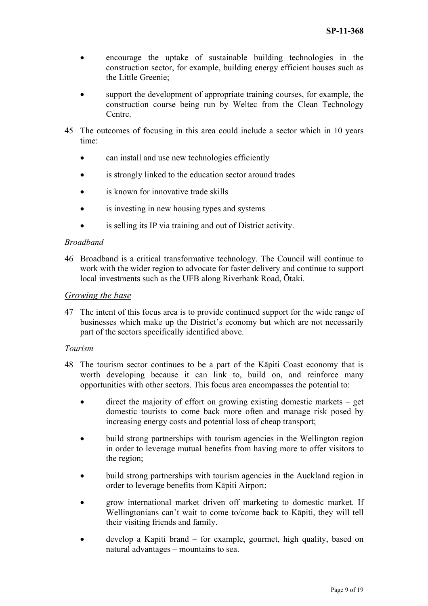- encourage the uptake of sustainable building technologies in the construction sector, for example, building energy efficient houses such as the Little Greenie;
- support the development of appropriate training courses, for example, the construction course being run by Weltec from the Clean Technology Centre.
- 45 The outcomes of focusing in this area could include a sector which in 10 years time:
	- can install and use new technologies efficiently
	- is strongly linked to the education sector around trades
	- is known for innovative trade skills
	- is investing in new housing types and systems
	- is selling its IP via training and out of District activity.

#### *Broadband*

46 Broadband is a critical transformative technology. The Council will continue to work with the wider region to advocate for faster delivery and continue to support local investments such as the UFB along Riverbank Road, Ōtaki.

#### *Growing the base*

47 The intent of this focus area is to provide continued support for the wide range of businesses which make up the District's economy but which are not necessarily part of the sectors specifically identified above.

#### *Tourism*

- 48 The tourism sector continues to be a part of the Kāpiti Coast economy that is worth developing because it can link to, build on, and reinforce many opportunities with other sectors. This focus area encompasses the potential to:
	- direct the majority of effort on growing existing domestic markets get domestic tourists to come back more often and manage risk posed by increasing energy costs and potential loss of cheap transport;
	- build strong partnerships with tourism agencies in the Wellington region in order to leverage mutual benefits from having more to offer visitors to the region;
	- build strong partnerships with tourism agencies in the Auckland region in order to leverage benefits from Kāpiti Airport;
	- grow international market driven off marketing to domestic market. If Wellingtonians can't wait to come to/come back to Kāpiti, they will tell their visiting friends and family.
	- develop a Kapiti brand for example, gourmet, high quality, based on natural advantages – mountains to sea.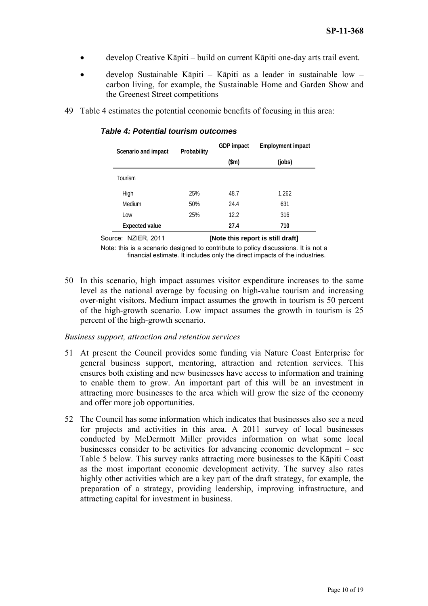- develop Creative Kāpiti build on current Kāpiti one-day arts trail event.
- develop Sustainable Kāpiti Kāpiti as a leader in sustainable low carbon living, for example, the Sustainable Home and Garden Show and the Greenest Street competitions
- 49 Table 4 estimates the potential economic benefits of focusing in this area:

| Scenario and impact   | Probability | GDP impact    | <b>Employment impact</b> |
|-----------------------|-------------|---------------|--------------------------|
|                       |             | $(\text{5m})$ | (jobs)                   |
| Tourism               |             |               |                          |
| High                  | 25%         | 48.7          | 1,262                    |
| Medium                | 50%         | 24.4          | 631                      |
| Low                   | 25%         | 12.2          | 316                      |
| <b>Expected value</b> |             | 27.4          | 710                      |

*Table 4: Potential tourism outcomes* 

Source: NZIER, 2011 **[Note this report is still draft]** Note: this is a scenario designed to contribute to policy discussions. It is not a financial estimate. It includes only the direct impacts of the industries.

50 In this scenario, high impact assumes visitor expenditure increases to the same level as the national average by focusing on high-value tourism and increasing over-night visitors. Medium impact assumes the growth in tourism is 50 percent of the high-growth scenario. Low impact assumes the growth in tourism is 25 percent of the high-growth scenario.

*Business support, attraction and retention services* 

- 51 At present the Council provides some funding via Nature Coast Enterprise for general business support, mentoring, attraction and retention services. This ensures both existing and new businesses have access to information and training to enable them to grow. An important part of this will be an investment in attracting more businesses to the area which will grow the size of the economy and offer more job opportunities.
- 52 The Council has some information which indicates that businesses also see a need for projects and activities in this area. A 2011 survey of local businesses conducted by McDermott Miller provides information on what some local businesses consider to be activities for advancing economic development – see Table 5 below. This survey ranks attracting more businesses to the Kāpiti Coast as the most important economic development activity. The survey also rates highly other activities which are a key part of the draft strategy, for example, the preparation of a strategy, providing leadership, improving infrastructure, and attracting capital for investment in business.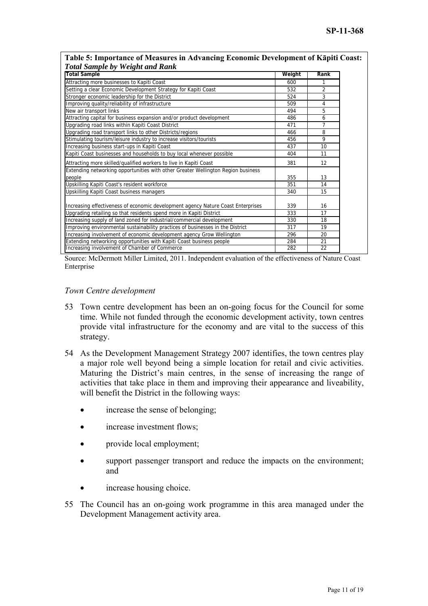| <b>Total Sample by Weight and Rank</b>                                           |        |                |
|----------------------------------------------------------------------------------|--------|----------------|
| <b>Total Sample</b>                                                              | Weight | Rank           |
| Attracting more businesses to Kapiti Coast                                       | 600    |                |
| Setting a clear Economic Development Strategy for Kapiti Coast                   | 532    | $\overline{2}$ |
| Stronger economic leadership for the District                                    | 524    | 3              |
| Improving quality/reliability of infrastructure                                  | 509    | 4              |
| New air transport links                                                          | 494    | 5              |
| Attracting capital for business expansion and/or product development             | 486    | 6              |
| Upgrading road links within Kapiti Coast District                                | 471    | 7              |
| Upgrading road transport links to other Districts/regions                        | 466    | 8              |
| Stimulating tourism/leisure industry to increase visitors/tourists               | 456    | 9              |
| Increasing business start-ups in Kapiti Coast                                    | 437    | 10             |
| Kapiti Coast businesses and households to buy local whenever possible            | 404    | 11             |
| Attracting more skilled/qualified workers to live in Kapiti Coast                | 381    | 12             |
| Extending networking opportunities with other Greater Wellington Region business |        |                |
| people                                                                           | 355    | 13             |
| Upskilling Kapiti Coast's resident workforce                                     | 351    | 14             |
| Upskilling Kapiti Coast business managers                                        | 340    | 15             |
| Increasing effectiveness of economic development agency Nature Coast Enterprises | 339    | 16             |
| Upgrading retailing so that residents spend more in Kapiti District              | 333    | 17             |
| Increasing supply of land zoned for industrial/commercial development            | 330    | 18             |
| Improving environmental sustainability practices of businesses in the District   | 317    | 19             |
| Increasing involvement of economic development agency Grow Wellington            | 296    | 20             |
| Extending networking opportunities with Kapiti Coast business people             | 284    | 21             |
| Increasing involvement of Chamber of Commerce                                    | 282    | 22             |

# **Table 5: Importance of Measures in Advancing Economic Development of Kāpiti Coast:**

Source: McDermott Miller Limited, 2011. Independent evaluation of the effectiveness of Nature Coast Enterprise

### *Town Centre development*

- 53 Town centre development has been an on-going focus for the Council for some time. While not funded through the economic development activity, town centres provide vital infrastructure for the economy and are vital to the success of this strategy.
- 54 As the Development Management Strategy 2007 identifies, the town centres play a major role well beyond being a simple location for retail and civic activities. Maturing the District's main centres, in the sense of increasing the range of activities that take place in them and improving their appearance and liveability, will benefit the District in the following ways:
	- increase the sense of belonging;
	- increase investment flows;
	- provide local employment;
	- support passenger transport and reduce the impacts on the environment; and
	- increase housing choice.
- 55 The Council has an on-going work programme in this area managed under the Development Management activity area.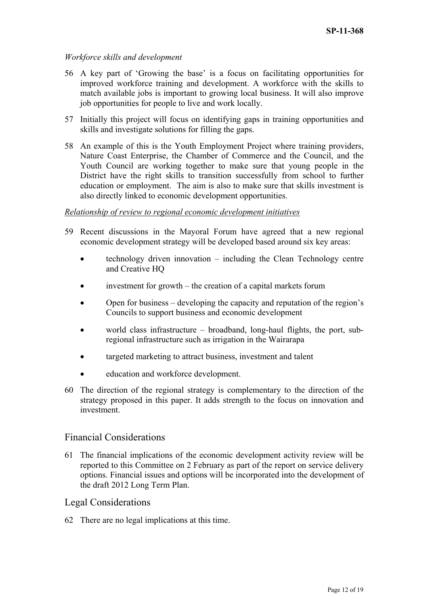## *Workforce skills and development*

- 56 A key part of 'Growing the base' is a focus on facilitating opportunities for improved workforce training and development. A workforce with the skills to match available jobs is important to growing local business. It will also improve job opportunities for people to live and work locally.
- 57 Initially this project will focus on identifying gaps in training opportunities and skills and investigate solutions for filling the gaps.
- 58 An example of this is the Youth Employment Project where training providers, Nature Coast Enterprise, the Chamber of Commerce and the Council, and the Youth Council are working together to make sure that young people in the District have the right skills to transition successfully from school to further education or employment. The aim is also to make sure that skills investment is also directly linked to economic development opportunities.

### *Relationship of review to regional economic development initiatives*

- 59 Recent discussions in the Mayoral Forum have agreed that a new regional economic development strategy will be developed based around six key areas:
	- technology driven innovation including the Clean Technology centre and Creative HQ
	- investment for growth the creation of a capital markets forum
	- Open for business developing the capacity and reputation of the region's Councils to support business and economic development
	- world class infrastructure broadband, long-haul flights, the port, subregional infrastructure such as irrigation in the Wairarapa
	- targeted marketing to attract business, investment and talent
	- education and workforce development.
- 60 The direction of the regional strategy is complementary to the direction of the strategy proposed in this paper. It adds strength to the focus on innovation and investment.

# Financial Considerations

61 The financial implications of the economic development activity review will be reported to this Committee on 2 February as part of the report on service delivery options. Financial issues and options will be incorporated into the development of the draft 2012 Long Term Plan.

## Legal Considerations

62 There are no legal implications at this time.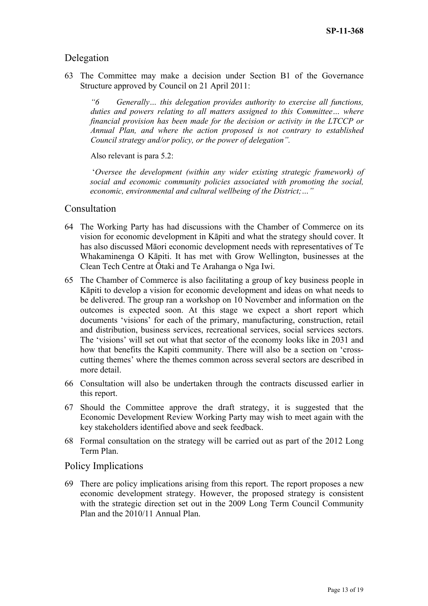# Delegation

63 The Committee may make a decision under Section B1 of the Governance Structure approved by Council on 21 April 2011:

*"6 Generally… this delegation provides authority to exercise all functions, duties and powers relating to all matters assigned to this Committee… where financial provision has been made for the decision or activity in the LTCCP or Annual Plan, and where the action proposed is not contrary to established Council strategy and/or policy, or the power of delegation".* 

Also relevant is para 5.2:

 '*Oversee the development (within any wider existing strategic framework) of social and economic community policies associated with promoting the social, economic, environmental and cultural wellbeing of the District;…"* 

## Consultation

- 64 The Working Party has had discussions with the Chamber of Commerce on its vision for economic development in Kāpiti and what the strategy should cover. It has also discussed Māori economic development needs with representatives of Te Whakaminenga O Kāpiti. It has met with Grow Wellington, businesses at the Clean Tech Centre at Ōtaki and Te Arahanga o Nga Iwi.
- 65 The Chamber of Commerce is also facilitating a group of key business people in Kāpiti to develop a vision for economic development and ideas on what needs to be delivered. The group ran a workshop on 10 November and information on the outcomes is expected soon. At this stage we expect a short report which documents 'visions' for each of the primary, manufacturing, construction, retail and distribution, business services, recreational services, social services sectors. The 'visions' will set out what that sector of the economy looks like in 2031 and how that benefits the Kapiti community. There will also be a section on 'crosscutting themes' where the themes common across several sectors are described in more detail.
- 66 Consultation will also be undertaken through the contracts discussed earlier in this report.
- 67 Should the Committee approve the draft strategy, it is suggested that the Economic Development Review Working Party may wish to meet again with the key stakeholders identified above and seek feedback.
- 68 Formal consultation on the strategy will be carried out as part of the 2012 Long Term Plan.

### Policy Implications

69 There are policy implications arising from this report. The report proposes a new economic development strategy. However, the proposed strategy is consistent with the strategic direction set out in the 2009 Long Term Council Community Plan and the 2010/11 Annual Plan.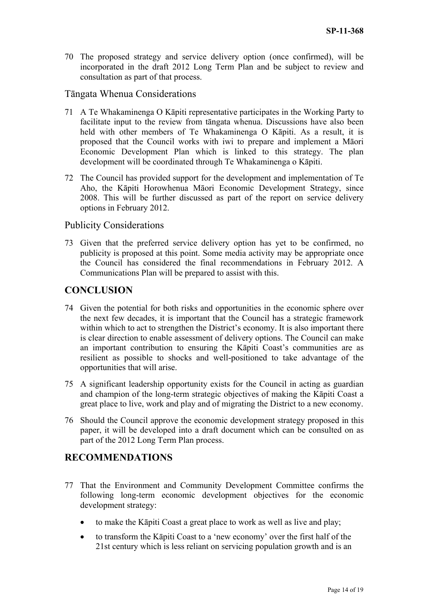70 The proposed strategy and service delivery option (once confirmed), will be incorporated in the draft 2012 Long Term Plan and be subject to review and consultation as part of that process.

# Tāngata Whenua Considerations

- 71 A Te Whakaminenga O Kāpiti representative participates in the Working Party to facilitate input to the review from tāngata whenua. Discussions have also been held with other members of Te Whakaminenga O Kāpiti. As a result, it is proposed that the Council works with iwi to prepare and implement a Māori Economic Development Plan which is linked to this strategy. The plan development will be coordinated through Te Whakaminenga o Kāpiti.
- 72 The Council has provided support for the development and implementation of Te Aho, the Kāpiti Horowhenua Māori Economic Development Strategy, since 2008. This will be further discussed as part of the report on service delivery options in February 2012.

# Publicity Considerations

73 Given that the preferred service delivery option has yet to be confirmed, no publicity is proposed at this point. Some media activity may be appropriate once the Council has considered the final recommendations in February 2012. A Communications Plan will be prepared to assist with this.

# **CONCLUSION**

- 74 Given the potential for both risks and opportunities in the economic sphere over the next few decades, it is important that the Council has a strategic framework within which to act to strengthen the District's economy. It is also important there is clear direction to enable assessment of delivery options. The Council can make an important contribution to ensuring the Kāpiti Coast's communities are as resilient as possible to shocks and well-positioned to take advantage of the opportunities that will arise.
- 75 A significant leadership opportunity exists for the Council in acting as guardian and champion of the long-term strategic objectives of making the Kāpiti Coast a great place to live, work and play and of migrating the District to a new economy.
- 76 Should the Council approve the economic development strategy proposed in this paper, it will be developed into a draft document which can be consulted on as part of the 2012 Long Term Plan process.

# **RECOMMENDATIONS**

- 77 That the Environment and Community Development Committee confirms the following long-term economic development objectives for the economic development strategy:
	- to make the Kāpiti Coast a great place to work as well as live and play;
	- to transform the Kāpiti Coast to a 'new economy' over the first half of the 21st century which is less reliant on servicing population growth and is an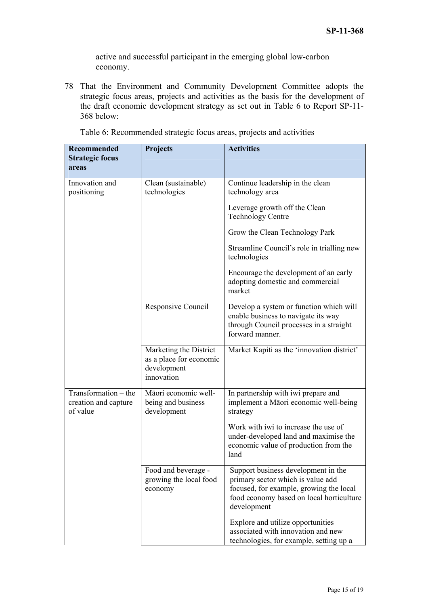active and successful participant in the emerging global low-carbon economy.

78 That the Environment and Community Development Committee adopts the strategic focus areas, projects and activities as the basis for the development of the draft economic development strategy as set out in Table 6 to Report SP-11- 368 below:

| <b>Recommended</b><br><b>Strategic focus</b><br>areas    | Projects                                                                       | <b>Activities</b>                                                                                                                                                              |
|----------------------------------------------------------|--------------------------------------------------------------------------------|--------------------------------------------------------------------------------------------------------------------------------------------------------------------------------|
| Innovation and<br>positioning                            | Clean (sustainable)<br>technologies                                            | Continue leadership in the clean<br>technology area                                                                                                                            |
|                                                          |                                                                                | Leverage growth off the Clean<br><b>Technology Centre</b>                                                                                                                      |
|                                                          |                                                                                | Grow the Clean Technology Park                                                                                                                                                 |
|                                                          |                                                                                | Streamline Council's role in trialling new<br>technologies                                                                                                                     |
|                                                          |                                                                                | Encourage the development of an early<br>adopting domestic and commercial<br>market                                                                                            |
|                                                          | Responsive Council                                                             | Develop a system or function which will<br>enable business to navigate its way<br>through Council processes in a straight<br>forward manner.                                   |
|                                                          | Marketing the District<br>as a place for economic<br>development<br>innovation | Market Kapiti as the 'innovation district'                                                                                                                                     |
| Transformation – the<br>creation and capture<br>of value | Māori economic well-<br>being and business<br>development                      | In partnership with iwi prepare and<br>implement a Māori economic well-being<br>strategy                                                                                       |
|                                                          |                                                                                | Work with iwi to increase the use of<br>under-developed land and maximise the<br>economic value of production from the<br>land                                                 |
|                                                          | Food and beverage -<br>growing the local food<br>economy                       | Support business development in the<br>primary sector which is value add<br>focused, for example, growing the local<br>food economy based on local horticulture<br>development |
|                                                          |                                                                                | Explore and utilize opportunities<br>associated with innovation and new<br>technologies, for example, setting up a                                                             |

Table 6: Recommended strategic focus areas, projects and activities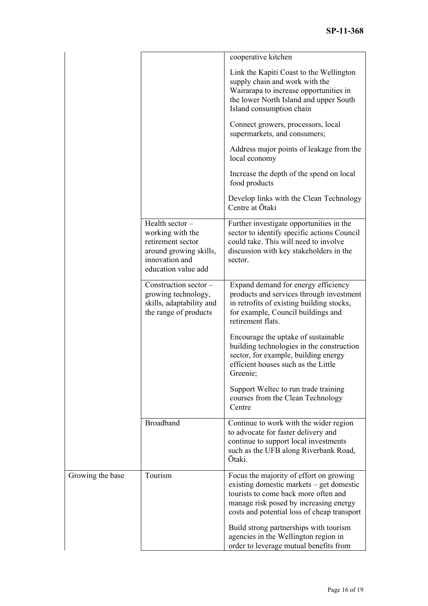|                  |                                                                                                                            | cooperative kitchen                                                                                                                                                                                                  |
|------------------|----------------------------------------------------------------------------------------------------------------------------|----------------------------------------------------------------------------------------------------------------------------------------------------------------------------------------------------------------------|
|                  |                                                                                                                            | Link the Kapiti Coast to the Wellington<br>supply chain and work with the<br>Wairarapa to increase opportunities in<br>the lower North Island and upper South<br>Island consumption chain                            |
|                  |                                                                                                                            | Connect growers, processors, local<br>supermarkets, and consumers;                                                                                                                                                   |
|                  |                                                                                                                            | Address major points of leakage from the<br>local economy                                                                                                                                                            |
|                  |                                                                                                                            | Increase the depth of the spend on local<br>food products                                                                                                                                                            |
|                  |                                                                                                                            | Develop links with the Clean Technology<br>Centre at Ōtaki                                                                                                                                                           |
|                  | Health sector-<br>working with the<br>retirement sector<br>around growing skills,<br>innovation and<br>education value add | Further investigate opportunities in the<br>sector to identify specific actions Council<br>could take. This will need to involve<br>discussion with key stakeholders in the<br>sector.                               |
|                  | Construction sector -<br>growing technology,<br>skills, adaptability and<br>the range of products                          | Expand demand for energy efficiency<br>products and services through investment<br>in retrofits of existing building stocks,<br>for example, Council buildings and<br>retirement flats.                              |
|                  |                                                                                                                            | Encourage the uptake of sustainable<br>building technologies in the construction<br>sector, for example, building energy<br>efficient houses such as the Little<br>Greenie;                                          |
|                  |                                                                                                                            | Support Weltec to run trade training<br>courses from the Clean Technology<br>Centre                                                                                                                                  |
|                  | <b>Broadband</b>                                                                                                           | Continue to work with the wider region<br>to advocate for faster delivery and<br>continue to support local investments<br>such as the UFB along Riverbank Road,<br>Ōtaki.                                            |
| Growing the base | Tourism                                                                                                                    | Focus the majority of effort on growing<br>existing domestic markets – get domestic<br>tourists to come back more often and<br>manage risk posed by increasing energy<br>costs and potential loss of cheap transport |
|                  |                                                                                                                            | Build strong partnerships with tourism<br>agencies in the Wellington region in<br>order to leverage mutual benefits from                                                                                             |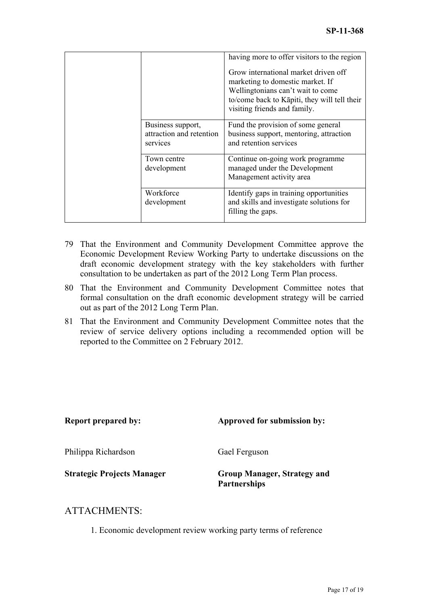|                                                           | having more to offer visitors to the region<br>Grow international market driven off<br>marketing to domestic market. If<br>Wellingtonians can't wait to come<br>to/come back to Kāpiti, they will tell their<br>visiting friends and family. |
|-----------------------------------------------------------|----------------------------------------------------------------------------------------------------------------------------------------------------------------------------------------------------------------------------------------------|
| Business support,<br>attraction and retention<br>services | Fund the provision of some general<br>business support, mentoring, attraction<br>and retention services                                                                                                                                      |
| Town centre<br>development                                | Continue on-going work programme<br>managed under the Development<br>Management activity area                                                                                                                                                |
| Workforce<br>development                                  | Identify gaps in training opportunities<br>and skills and investigate solutions for<br>filling the gaps.                                                                                                                                     |

- 79 That the Environment and Community Development Committee approve the Economic Development Review Working Party to undertake discussions on the draft economic development strategy with the key stakeholders with further consultation to be undertaken as part of the 2012 Long Term Plan process.
- 80 That the Environment and Community Development Committee notes that formal consultation on the draft economic development strategy will be carried out as part of the 2012 Long Term Plan.
- 81 That the Environment and Community Development Committee notes that the review of service delivery options including a recommended option will be reported to the Committee on 2 February 2012.

| <b>Report prepared by:</b>        | Approved for submission by:                               |
|-----------------------------------|-----------------------------------------------------------|
| Philippa Richardson               | Gael Ferguson                                             |
| <b>Strategic Projects Manager</b> | <b>Group Manager, Strategy and</b><br><b>Partnerships</b> |

# ATTACHMENTS:

1. Economic development review working party terms of reference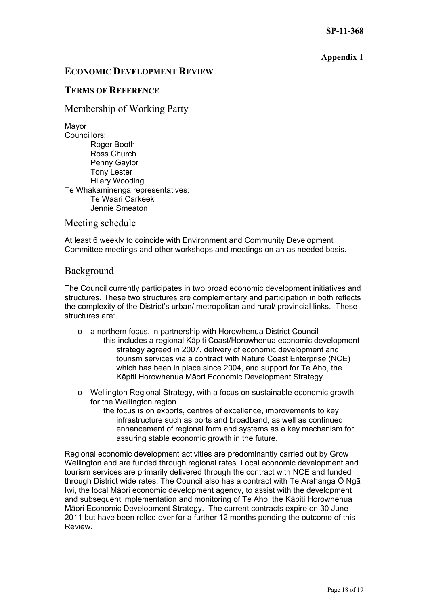## **Appendix 1**

## **ECONOMIC DEVELOPMENT REVIEW**

## **TERMS OF REFERENCE**

Membership of Working Party

Mayor

Councillors: Roger Booth Ross Church Penny Gaylor Tony Lester Hilary Wooding Te Whakaminenga representatives: Te Waari Carkeek Jennie Smeaton

Meeting schedule

At least 6 weekly to coincide with Environment and Community Development Committee meetings and other workshops and meetings on an as needed basis.

## Background

The Council currently participates in two broad economic development initiatives and structures. These two structures are complementary and participation in both reflects the complexity of the District's urban/ metropolitan and rural/ provincial links. These structures are:

- o a northern focus, in partnership with Horowhenua District Council this includes a regional Kāpiti Coast/Horowhenua economic development strategy agreed in 2007, delivery of economic development and tourism services via a contract with Nature Coast Enterprise (NCE) which has been in place since 2004, and support for Te Aho, the Kāpiti Horowhenua Māori Economic Development Strategy
- o Wellington Regional Strategy, with a focus on sustainable economic growth for the Wellington region
	- the focus is on exports, centres of excellence, improvements to key infrastructure such as ports and broadband, as well as continued enhancement of regional form and systems as a key mechanism for assuring stable economic growth in the future.

Regional economic development activities are predominantly carried out by Grow Wellington and are funded through regional rates. Local economic development and tourism services are primarily delivered through the contract with NCE and funded through District wide rates. The Council also has a contract with Te Arahanga Ō Ngā Iwi, the local Māori economic development agency, to assist with the development and subsequent implementation and monitoring of Te Aho, the Kāpiti Horowhenua Māori Economic Development Strategy. The current contracts expire on 30 June 2011 but have been rolled over for a further 12 months pending the outcome of this Review.